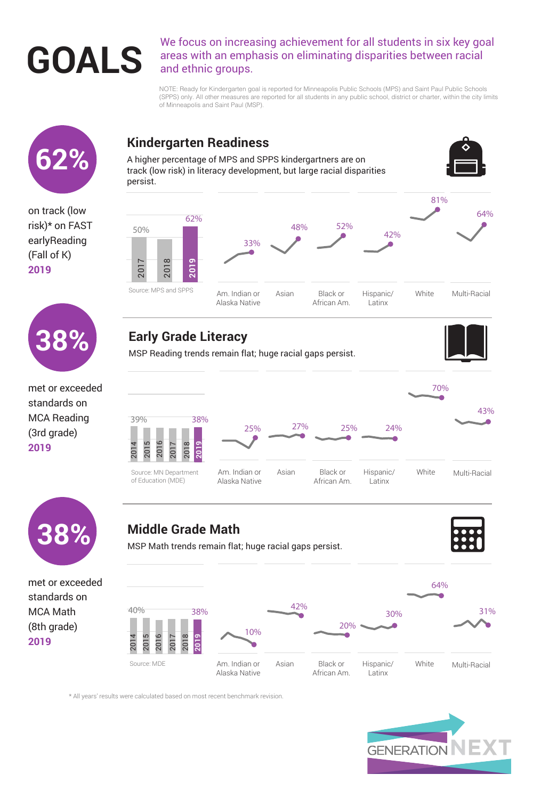We focus on increasing achievement for all students in six key goal<br>areas with an emphasis on eliminating disparities between racial<br>and ethnic groups. areas with an emphasis on eliminating disparities between racial and ethnic groups.

> NOTE: Ready for Kindergarten goal is reported for Minneapolis Public Schools (MPS) and Saint Paul Public Schools (SPPS) only. All other measures are reported for all students in any public school, district or charter, within the city limits of Minneapolis and Saint Paul (MSP).

\* All years' results were calculated based on most recent benchmark revision.



on track (low risk)\* on FAST earlyReading (Fall of K) **2019**

## **Middle Grade Math**

MSP Math trends remain flat; huge racial gaps persist.





### **Kindergarten Readiness**



A higher percentage of MPS and SPPS kindergartners are on track (low risk) in literacy development, but large racial disparities persist.



Am. Indian or

Alaska Native

Hispanic/

Latinx



Black or

African Am.

Multi-Racial

**White** 

Asian





met or exceeded standards on MCA Reading (3rd grade) **2019**



MSP Reading trends remain flat; huge racial gaps persist.





Source: MPS and SPPS